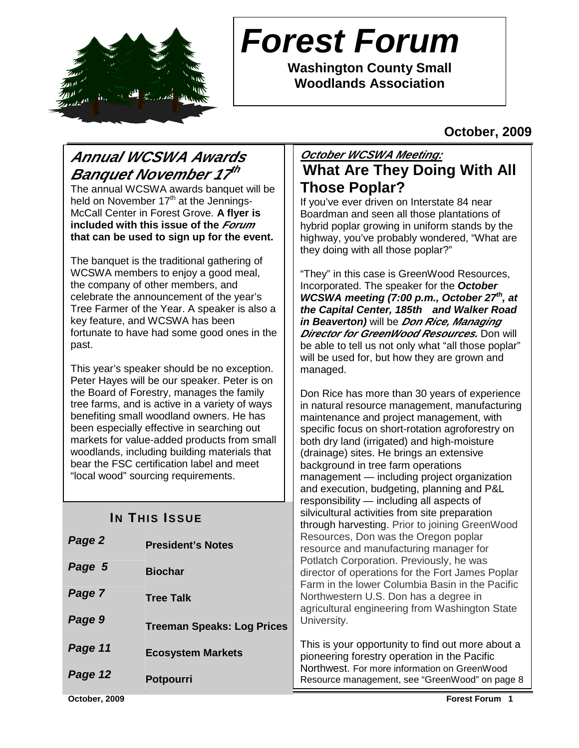

# **Forest Forum**

**Washington County Small Woodlands Association** 

**October, 2009** 

# **Annual WCSWA Awards Banquet November 17 th**

The annual WCSWA awards banquet will be held on November  $17<sup>th</sup>$  at the Jennings-McCall Center in Forest Grove. **A flyer is included with this issue of the Forum that can be used to sign up for the event.**

The banquet is the traditional gathering of WCSWA members to enjoy a good meal, the company of other members, and celebrate the announcement of the year's Tree Farmer of the Year. A speaker is also a key feature, and WCSWA has been fortunate to have had some good ones in the past.

This year's speaker should be no exception. Peter Hayes will be our speaker. Peter is on the Board of Forestry, manages the family tree farms, and is active in a variety of ways benefiting small woodland owners. He has been especially effective in searching out markets for value-added products from small woodlands, including building materials that bear the FSC certification label and meet "local wood" sourcing requirements.

# **IN THIS ISSUE**

| Page 2        | <b>President's Notes</b>          | Resources, Don was the Oregon poplar<br>resource and manufacturing manager for                                                                                                                                                           |  |
|---------------|-----------------------------------|------------------------------------------------------------------------------------------------------------------------------------------------------------------------------------------------------------------------------------------|--|
| Page 5        | <b>Biochar</b>                    | Potlatch Corporation. Previously, he was<br>director of operations for the Fort James Popla<br>Farm in the lower Columbia Basin in the Pacifi<br>Northwestern U.S. Don has a degree in<br>agricultural engineering from Washington State |  |
| Page 7        | <b>Tree Talk</b>                  |                                                                                                                                                                                                                                          |  |
| Page 9        | <b>Treeman Speaks: Log Prices</b> | University.                                                                                                                                                                                                                              |  |
| Page 11       | <b>Ecosystem Markets</b>          | This is your opportunity to find out more about<br>pioneering forestry operation in the Pacific                                                                                                                                          |  |
| Page 12       | Potpourri                         | Northwest. For more information on GreenWood<br>Resource management, see "GreenWood" on page                                                                                                                                             |  |
| October, 2009 |                                   | <b>Forest Forum 1</b>                                                                                                                                                                                                                    |  |

# **October WCSWA Meeting: What Are They Doing With All Those Poplar?**

If you've ever driven on Interstate 84 near Boardman and seen all those plantations of hybrid poplar growing in uniform stands by the highway, you've probably wondered, "What are they doing with all those poplar?"

"They" in this case is GreenWood Resources, Incorporated. The speaker for the **October WCSWA meeting (7:00 p.m., October 27th, at the Capital Center, 185th and Walker Road in Beaverton)** will be **Don Rice, Managing Director for GreenWood Resources.** Don will be able to tell us not only what "all those poplar" will be used for, but how they are grown and managed.

Don Rice has more than 30 years of experience in natural resource management, manufacturing maintenance and project management, with specific focus on short-rotation agroforestry on both dry land (irrigated) and high-moisture (drainage) sites. He brings an extensive background in tree farm operations management — including project organization and execution, budgeting, planning and P&L responsibility — including all aspects of silvicultural activities from site preparation through harvesting. Prior to joining GreenWood was the Oregon poplar nufacturing manager for tion. Previously, he was ions for the Fort James Poplar Columbia Basin in the Pacific S. Don has a degree in eering from Washington State

rtunity to find out more about a ry operation in the Pacific ore information on GreenWood nent, see "GreenWood" on page 8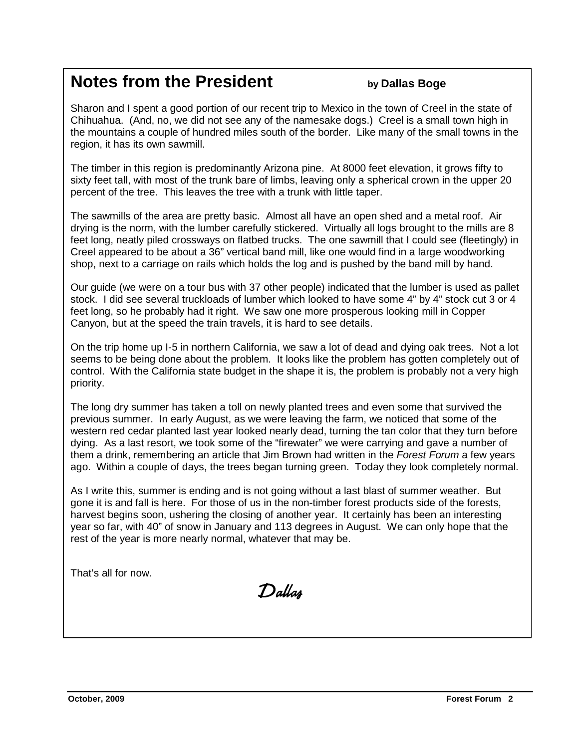# **Notes from the President by Dallas Boge**

Sharon and I spent a good portion of our recent trip to Mexico in the town of Creel in the state of Chihuahua. (And, no, we did not see any of the namesake dogs.) Creel is a small town high in the mountains a couple of hundred miles south of the border. Like many of the small towns in the region, it has its own sawmill.

The timber in this region is predominantly Arizona pine. At 8000 feet elevation, it grows fifty to sixty feet tall, with most of the trunk bare of limbs, leaving only a spherical crown in the upper 20 percent of the tree. This leaves the tree with a trunk with little taper.

The sawmills of the area are pretty basic. Almost all have an open shed and a metal roof. Air drying is the norm, with the lumber carefully stickered. Virtually all logs brought to the mills are 8 feet long, neatly piled crossways on flatbed trucks. The one sawmill that I could see (fleetingly) in Creel appeared to be about a 36" vertical band mill, like one would find in a large woodworking shop, next to a carriage on rails which holds the log and is pushed by the band mill by hand.

Our guide (we were on a tour bus with 37 other people) indicated that the lumber is used as pallet stock. I did see several truckloads of lumber which looked to have some 4" by 4" stock cut 3 or 4 feet long, so he probably had it right. We saw one more prosperous looking mill in Copper Canyon, but at the speed the train travels, it is hard to see details.

On the trip home up I-5 in northern California, we saw a lot of dead and dying oak trees. Not a lot seems to be being done about the problem. It looks like the problem has gotten completely out of control. With the California state budget in the shape it is, the problem is probably not a very high priority.

The long dry summer has taken a toll on newly planted trees and even some that survived the previous summer. In early August, as we were leaving the farm, we noticed that some of the western red cedar planted last year looked nearly dead, turning the tan color that they turn before dying. As a last resort, we took some of the "firewater" we were carrying and gave a number of them a drink, remembering an article that Jim Brown had written in the Forest Forum a few years ago. Within a couple of days, the trees began turning green. Today they look completely normal.

As I write this, summer is ending and is not going without a last blast of summer weather. But gone it is and fall is here. For those of us in the non-timber forest products side of the forests, harvest begins soon, ushering the closing of another year. It certainly has been an interesting year so far, with 40" of snow in January and 113 degrees in August. We can only hope that the rest of the year is more nearly normal, whatever that may be.

That's all for now.

Dallas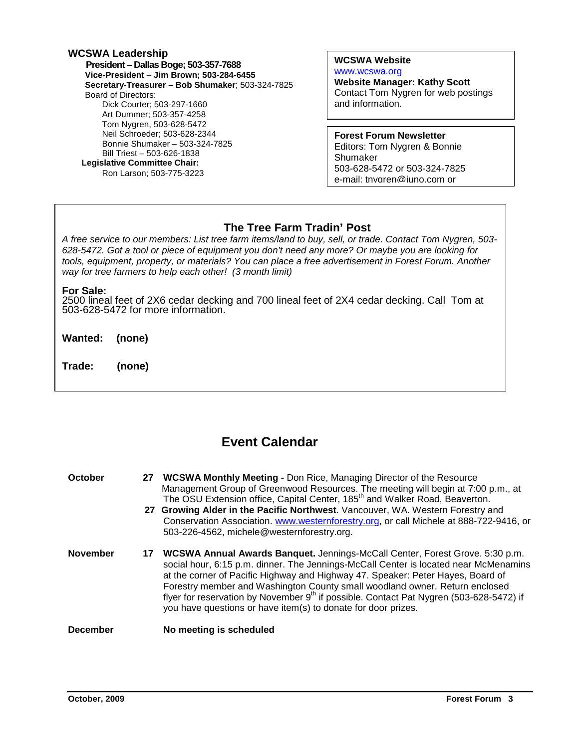### **WCSWA Leadership President – Dallas Boge; 503-357-7688 Vice-President** – **Jim Brown; 503-284-6455 Secretary-Treasurer – Bob Shumaker**; 503-324-7825 Board of Directors: Dick Courter; 503-297-1660 Art Dummer; 503-357-4258 Tom Nygren, 503-628-5472 Neil Schroeder; 503-628-2344 Bonnie Shumaker – 503-324-7825 Bill Triest – 503-626-1838  **Legislative Committee Chair:**  Ron Larson; 503-775-3223

### **WCSWA Website** www.wcswa.org

**Website Manager: Kathy Scott** Contact Tom Nygren for web postings and information.

**Forest Forum Newsletter** Editors: Tom Nygren & Bonnie Shumaker 503-628-5472 or 503-324-7825 e-mail: tnygren@juno.com or

# **The Tree Farm Tradin' Post**

 628-5472. Got a tool or piece of equipment you don't need any more? Or maybe you are looking for A free service to our members: List tree farm items/land to buy, sell, or trade. Contact Tom Nygren, 503 tools, equipment, property, or materials? You can place a free advertisement in Forest Forum. Another way for tree farmers to help each other! (3 month limit)

### **For Sale:**

2500 lineal feet of 2X6 cedar decking and 700 lineal feet of 2X4 cedar decking. Call Tom at 503-628-5472 for more information.

**Wanted: (none)** 

**Trade: (none)** 

# **Event Calendar**

**October 27 WCSWA Monthly Meeting - Don Rice, Managing Director of the Resource**  Management Group of Greenwood Resources. The meeting will begin at 7:00 p.m., at The OSU Extension office, Capital Center, 185<sup>th</sup> and Walker Road, Beaverton. **27 Growing Alder in the Pacific Northwest**. Vancouver, WA. Western Forestry and Conservation Association. www.westernforestry.org, or call Michele at 888-722-9416, or 503-226-4562, michele@westernforestry.org. **November 17 WCSWA Annual Awards Banquet.** Jennings-McCall Center, Forest Grove. 5:30 p.m. social hour, 6:15 p.m. dinner. The Jennings-McCall Center is located near McMenamins at the corner of Pacific Highway and Highway 47. Speaker: Peter Hayes, Board of Forestry member and Washington County small woodland owner. Return enclosed flyer for reservation by November  $9<sup>th</sup>$  if possible. Contact Pat Nygren (503-628-5472) if you have questions or have item(s) to donate for door prizes. **December** No meeting is scheduled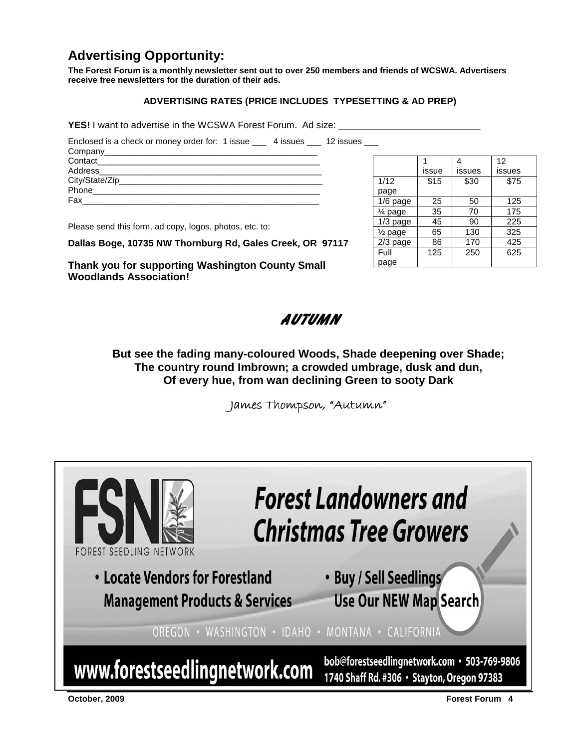# **Advertising Opportunity:**

**The Forest Forum is a monthly newsletter sent out to over 250 members and friends of WCSWA. Advertisers receive free newsletters for the duration of their ads.** 

### **ADVERTISING RATES (PRICE INCLUDES TYPESETTING & AD PREP)**

YES! I want to advertise in the WCSWA Forest Forum. Ad size:

Enclosed is a check or money order for: 1 issue \_\_\_ 4 issues \_\_\_ 12 issues \_\_\_

| Contact |  |
|---------|--|
|         |  |
|         |  |
| Phone   |  |
| Fax     |  |

Please send this form, ad copy, logos, photos, etc. to:

**Dallas Boge, 10735 NW Thornburg Rd, Gales Creek, OR 97117** 

**Thank you for supporting Washington County Small Woodlands Association!** 

|                    |       |        | 12     |
|--------------------|-------|--------|--------|
|                    | issue | issues | issues |
| 1/12               | \$15  | \$30   | \$75   |
| page               |       |        |        |
| 1/6 page           | 25    | 50     | 125    |
| $\frac{1}{4}$ page | 35    | 70     | 175    |
| $1/3$ page         | 45    | 90     | 225    |
| $\frac{1}{2}$ page | 65    | 130    | 325    |
| 2/3 page           | 86    | 170    | 425    |
| Full               | 125   | 250    | 625    |
| page               |       |        |        |

Autumn

**But see the fading many-coloured Woods, Shade deepening over Shade; The country round Imbrown; a crowded umbrage, dusk and dun, Of every hue, from wan declining Green to sooty Dark** 

James Thompson, "Autumn"

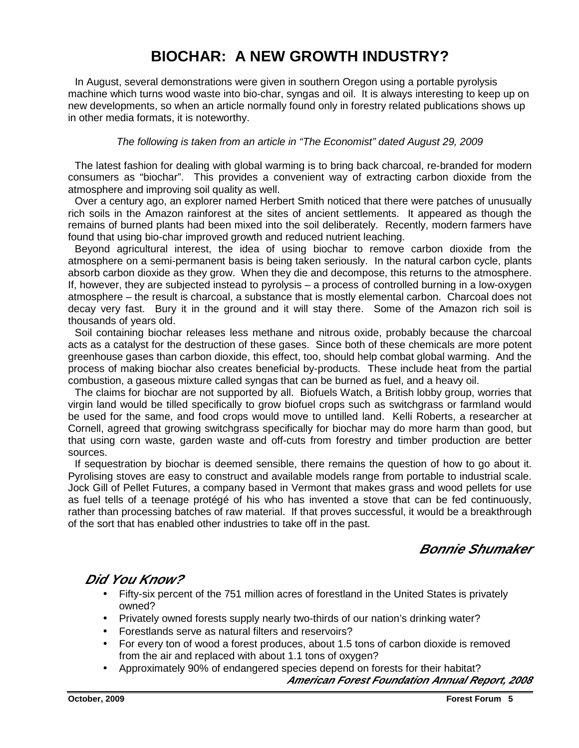# **BIOCHAR: A NEW GROWTH INDUSTRY?**

In August, several demonstrations were given in southern Oregon using a portable pyrolysis machine which turns wood waste into bio-char, syngas and oil. It is always interesting to keep up on new developments, so when an article normally found only in forestry related publications shows up in other media formats, it is noteworthy.

### The following is taken from an article in "The Economist" dated August 29, 2009

 The latest fashion for dealing with global warming is to bring back charcoal, re-branded for modern consumers as "biochar". This provides a convenient way of extracting carbon dioxide from the atmosphere and improving soil quality as well.

 Over a century ago, an explorer named Herbert Smith noticed that there were patches of unusually rich soils in the Amazon rainforest at the sites of ancient settlements. It appeared as though the remains of burned plants had been mixed into the soil deliberately. Recently, modern farmers have found that using bio-char improved growth and reduced nutrient leaching.

 Beyond agricultural interest, the idea of using biochar to remove carbon dioxide from the atmosphere on a semi-permanent basis is being taken seriously. In the natural carbon cycle, plants absorb carbon dioxide as they grow. When they die and decompose, this returns to the atmosphere. If, however, they are subjected instead to pyrolysis – a process of controlled burning in a low-oxygen atmosphere – the result is charcoal, a substance that is mostly elemental carbon. Charcoal does not decay very fast. Bury it in the ground and it will stay there. Some of the Amazon rich soil is thousands of years old.

 Soil containing biochar releases less methane and nitrous oxide, probably because the charcoal acts as a catalyst for the destruction of these gases. Since both of these chemicals are more potent greenhouse gases than carbon dioxide, this effect, too, should help combat global warming. And the process of making biochar also creates beneficial by-products. These include heat from the partial combustion, a gaseous mixture called syngas that can be burned as fuel, and a heavy oil.

 The claims for biochar are not supported by all. Biofuels Watch, a British lobby group, worries that virgin land would be tilled specifically to grow biofuel crops such as switchgrass or farmland would be used for the same, and food crops would move to untilled land. Kelli Roberts, a researcher at Cornell, agreed that growing switchgrass specifically for biochar may do more harm than good, but that using corn waste, garden waste and off-cuts from forestry and timber production are better sources.

 If sequestration by biochar is deemed sensible, there remains the question of how to go about it. Pyrolising stoves are easy to construct and available models range from portable to industrial scale. Jock Gill of Pellet Futures, a company based in Vermont that makes grass and wood pellets for use as fuel tells of a teenage protégé of his who has invented a stove that can be fed continuously, rather than processing batches of raw material. If that proves successful, it would be a breakthrough of the sort that has enabled other industries to take off in the past.

# **Bonnie Shumaker**

# **Did You Know?**

- Fifty-six percent of the 751 million acres of forestland in the United States is privately owned?
- Privately owned forests supply nearly two-thirds of our nation's drinking water?
- Forestlands serve as natural filters and reservoirs?
- For every ton of wood a forest produces, about 1.5 tons of carbon dioxide is removed from the air and replaced with about 1.1 tons of oxygen?
- Approximately 90% of endangered species depend on forests for their habitat?

**American Forest Foundation Annual Report, 2008**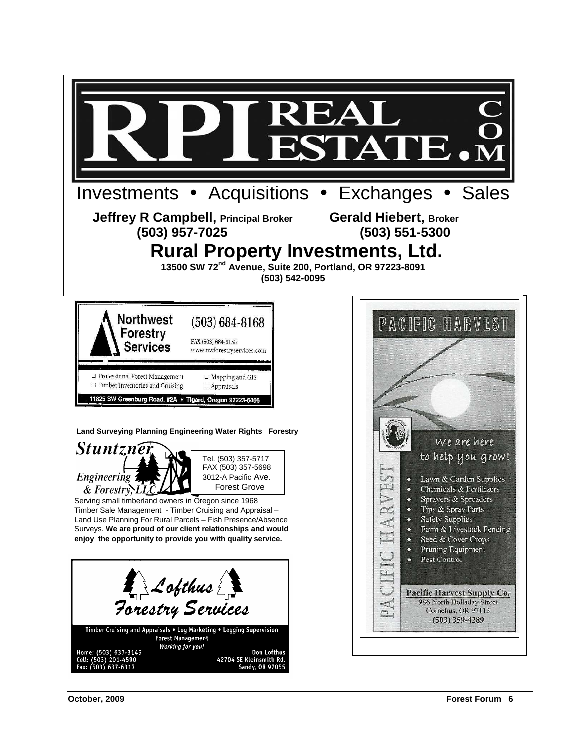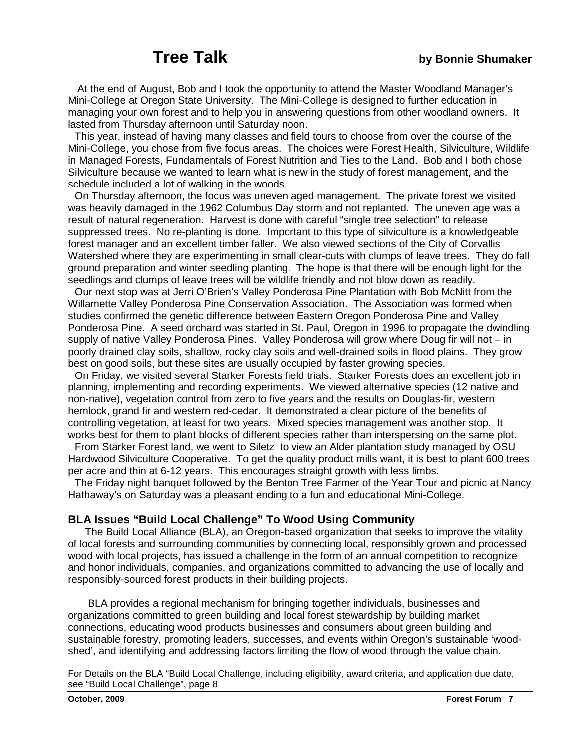At the end of August, Bob and I took the opportunity to attend the Master Woodland Manager's Mini-College at Oregon State University. The Mini-College is designed to further education in managing your own forest and to help you in answering questions from other woodland owners. It lasted from Thursday afternoon until Saturday noon.

 This year, instead of having many classes and field tours to choose from over the course of the Mini-College, you chose from five focus areas. The choices were Forest Health, Silviculture, Wildlife in Managed Forests, Fundamentals of Forest Nutrition and Ties to the Land. Bob and I both chose Silviculture because we wanted to learn what is new in the study of forest management, and the schedule included a lot of walking in the woods.

 On Thursday afternoon, the focus was uneven aged management. The private forest we visited was heavily damaged in the 1962 Columbus Day storm and not replanted. The uneven age was a result of natural regeneration. Harvest is done with careful "single tree selection" to release suppressed trees. No re-planting is done. Important to this type of silviculture is a knowledgeable forest manager and an excellent timber faller. We also viewed sections of the City of Corvallis Watershed where they are experimenting in small clear-cuts with clumps of leave trees. They do fall ground preparation and winter seedling planting. The hope is that there will be enough light for the seedlings and clumps of leave trees will be wildlife friendly and not blow down as readily.

 Our next stop was at Jerri O'Brien's Valley Ponderosa Pine Plantation with Bob McNitt from the Willamette Valley Ponderosa Pine Conservation Association. The Association was formed when studies confirmed the genetic difference between Eastern Oregon Ponderosa Pine and Valley Ponderosa Pine. A seed orchard was started in St. Paul, Oregon in 1996 to propagate the dwindling supply of native Valley Ponderosa Pines. Valley Ponderosa will grow where Doug fir will not – in poorly drained clay soils, shallow, rocky clay soils and well-drained soils in flood plains. They grow best on good soils, but these sites are usually occupied by faster growing species.

 On Friday, we visited several Starker Forests field trials. Starker Forests does an excellent job in planning, implementing and recording experiments. We viewed alternative species (12 native and non-native), vegetation control from zero to five years and the results on Douglas-fir, western hemlock, grand fir and western red-cedar. It demonstrated a clear picture of the benefits of controlling vegetation, at least for two years. Mixed species management was another stop. It works best for them to plant blocks of different species rather than interspersing on the same plot.

 From Starker Forest land, we went to Siletz to view an Alder plantation study managed by OSU Hardwood Silviculture Cooperative. To get the quality product mills want, it is best to plant 600 trees per acre and thin at 6-12 years. This encourages straight growth with less limbs.

 The Friday night banquet followed by the Benton Tree Farmer of the Year Tour and picnic at Nancy Hathaway's on Saturday was a pleasant ending to a fun and educational Mini-College.

### **BLA Issues "Build Local Challenge" To Wood Using Community**

The Build Local Alliance (BLA), an Oregon-based organization that seeks to improve the vitality of local forests and surrounding communities by connecting local, responsibly grown and processed wood with local projects, has issued a challenge in the form of an annual competition to recognize and honor individuals, companies, and organizations committed to advancing the use of locally and responsibly-sourced forest products in their building projects.

 BLA provides a regional mechanism for bringing together individuals, businesses and organizations committed to green building and local forest stewardship by building market connections, educating wood products businesses and consumers about green building and sustainable forestry, promoting leaders, successes, and events within Oregon's sustainable 'woodshed', and identifying and addressing factors limiting the flow of wood through the value chain.

For Details on the BLA "Build Local Challenge, including eligibility, award criteria, and application due date, see "Build Local Challenge", page 8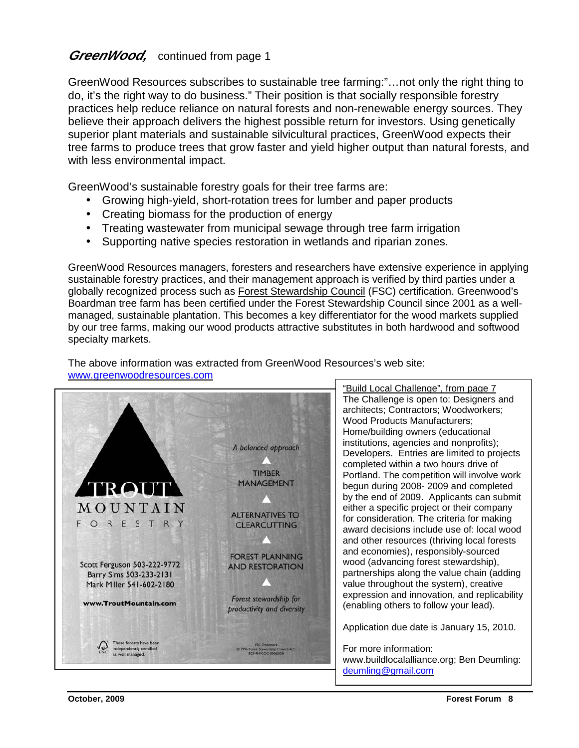# *GreenWood,* continued from page 1

GreenWood Resources subscribes to sustainable tree farming:"…not only the right thing to do, it's the right way to do business." Their position is that socially responsible forestry practices help reduce reliance on natural forests and non-renewable energy sources. They believe their approach delivers the highest possible return for investors. Using genetically superior plant materials and sustainable silvicultural practices, GreenWood expects their tree farms to produce trees that grow faster and yield higher output than natural forests, and with less environmental impact.

GreenWood's sustainable forestry goals for their tree farms are:

- Growing high-yield, short-rotation trees for lumber and paper products
- Creating biomass for the production of energy
- Treating wastewater from municipal sewage through tree farm irrigation
- Supporting native species restoration in wetlands and riparian zones.

GreenWood Resources managers, foresters and researchers have extensive experience in applying sustainable forestry practices, and their management approach is verified by third parties under a globally recognized process such as Forest Stewardship Council (FSC) certification. Greenwood's Boardman tree farm has been certified under the Forest Stewardship Council since 2001 as a wellmanaged, sustainable plantation. This becomes a key differentiator for the wood markets supplied by our tree farms, making our wood products attractive substitutes in both hardwood and softwood specialty markets.



The above information was extracted from GreenWood Resources's web site: www.greenwoodresources.com

> architects; Contractors; Woodworkers; "Build Local Challenge", from page 7 The Challenge is open to: Designers and Wood Products Manufacturers; Home/building owners (educational institutions, agencies and nonprofits); Developers. Entries are limited to projects completed within a two hours drive of Portland. The competition will involve work begun during 2008- 2009 and completed by the end of 2009. Applicants can submit either a specific project or their company for consideration. The criteria for making award decisions include use of: local wood and other resources (thriving local forests and economies), responsibly-sourced wood (advancing forest stewardship), partnerships along the value chain (adding value throughout the system), creative expression and innovation, and replicability (enabling others to follow your lead).

Application due date is January 15, 2010.

For more information: www.buildlocalalliance.org; Ben Deumling: deumling@gmail.com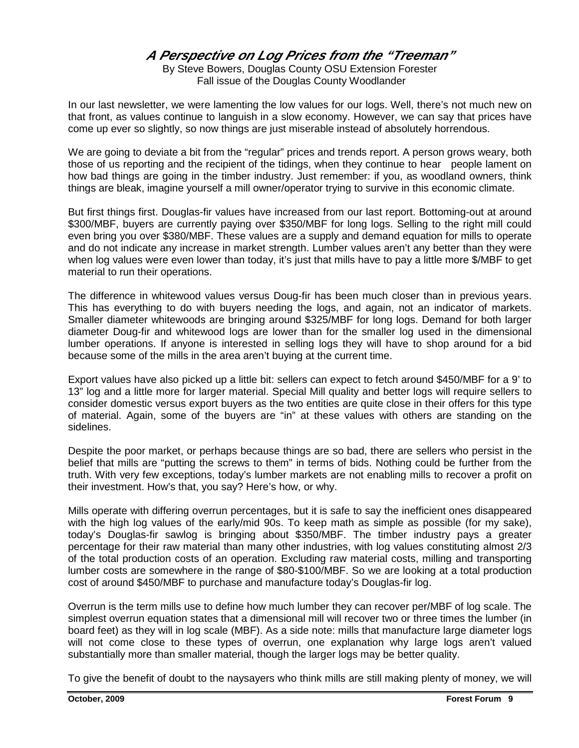# **A Perspective on Log Prices from the "Treeman"**

By Steve Bowers, Douglas County OSU Extension Forester Fall issue of the Douglas County Woodlander

In our last newsletter, we were lamenting the low values for our logs. Well, there's not much new on that front, as values continue to languish in a slow economy. However, we can say that prices have come up ever so slightly, so now things are just miserable instead of absolutely horrendous.

We are going to deviate a bit from the "regular" prices and trends report. A person grows weary, both those of us reporting and the recipient of the tidings, when they continue to hear people lament on how bad things are going in the timber industry. Just remember: if you, as woodland owners, think things are bleak, imagine yourself a mill owner/operator trying to survive in this economic climate.

But first things first. Douglas-fir values have increased from our last report. Bottoming-out at around \$300/MBF, buyers are currently paying over \$350/MBF for long logs. Selling to the right mill could even bring you over \$380/MBF. These values are a supply and demand equation for mills to operate and do not indicate any increase in market strength. Lumber values aren't any better than they were when log values were even lower than today, it's just that mills have to pay a little more \$/MBF to get material to run their operations.

The difference in whitewood values versus Doug-fir has been much closer than in previous years. This has everything to do with buyers needing the logs, and again, not an indicator of markets. Smaller diameter whitewoods are bringing around \$325/MBF for long logs. Demand for both larger diameter Doug-fir and whitewood logs are lower than for the smaller log used in the dimensional lumber operations. If anyone is interested in selling logs they will have to shop around for a bid because some of the mills in the area aren't buying at the current time.

Export values have also picked up a little bit: sellers can expect to fetch around \$450/MBF for a 9' to 13" log and a little more for larger material. Special Mill quality and better logs will require sellers to consider domestic versus export buyers as the two entities are quite close in their offers for this type of material. Again, some of the buyers are "in" at these values with others are standing on the sidelines.

Despite the poor market, or perhaps because things are so bad, there are sellers who persist in the belief that mills are "putting the screws to them" in terms of bids. Nothing could be further from the truth. With very few exceptions, today's lumber markets are not enabling mills to recover a profit on their investment. How's that, you say? Here's how, or why.

Mills operate with differing overrun percentages, but it is safe to say the inefficient ones disappeared with the high log values of the early/mid 90s. To keep math as simple as possible (for my sake), today's Douglas-fir sawlog is bringing about \$350/MBF. The timber industry pays a greater percentage for their raw material than many other industries, with log values constituting almost 2/3 of the total production costs of an operation. Excluding raw material costs, milling and transporting lumber costs are somewhere in the range of \$80-\$100/MBF. So we are looking at a total production cost of around \$450/MBF to purchase and manufacture today's Douglas-fir log.

Overrun is the term mills use to define how much lumber they can recover per/MBF of log scale. The simplest overrun equation states that a dimensional mill will recover two or three times the lumber (in board feet) as they will in log scale (MBF). As a side note: mills that manufacture large diameter logs will not come close to these types of overrun, one explanation why large logs aren't valued substantially more than smaller material, though the larger logs may be better quality.

To give the benefit of doubt to the naysayers who think mills are still making plenty of money, we will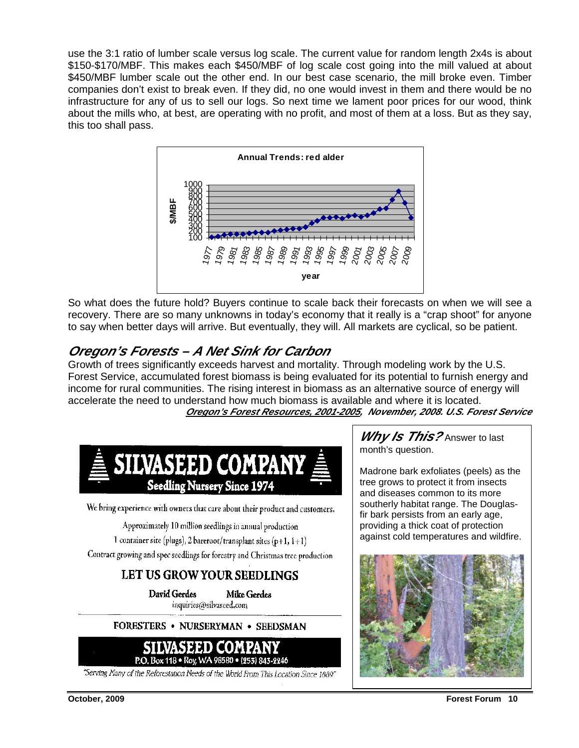use the 3:1 ratio of lumber scale versus log scale. The current value for random length 2x4s is about \$150-\$170/MBF. This makes each \$450/MBF of log scale cost going into the mill valued at about \$450/MBF lumber scale out the other end. In our best case scenario, the mill broke even. Timber companies don't exist to break even. If they did, no one would invest in them and there would be no infrastructure for any of us to sell our logs. So next time we lament poor prices for our wood, think about the mills who, at best, are operating with no profit, and most of them at a loss. But as they say, this too shall pass.



So what does the future hold? Buyers continue to scale back their forecasts on when we will see a recovery. There are so many unknowns in today's economy that it really is a "crap shoot" for anyone to say when better days will arrive. But eventually, they will. All markets are cyclical, so be patient.

# **Oregon's Forests – A Net Sink for Carbon**

Growth of trees significantly exceeds harvest and mortality. Through modeling work by the U.S. Forest Service, accumulated forest biomass is being evaluated for its potential to furnish energy and income for rural communities. The rising interest in biomass as an alternative source of energy will accelerate the need to understand how much biomass is available and where it is located. **Oregon's Forest Resources, 2001-2005, November, 2008. U.S. Forest Service** 



We bring experience with owners that care about their product and customers.

Approximately 10 million seedlings in annual production

1 container site (plugs), 2 bareroot/transplant sites (p+1,  $1+1$ )

Contract growing and spec seedlings for forestry and Christmas tree production

# LET US GROW YOUR SEEDLINGS

**David Gerdes Mike Gerdes** inquiries(@silvaseed.com

### FORESTERS . NURSERYMAN . SEEDSMAN



"Serving Many of the Reforcstation Needs of the World From This Location Since 1889"

**Why Is This?** Answer to last month's question.

Madrone bark exfoliates (peels) as the tree grows to protect it from insects and diseases common to its more southerly habitat range. The Douglasfir bark persists from an early age, providing a thick coat of protection against cold temperatures and wildfire.

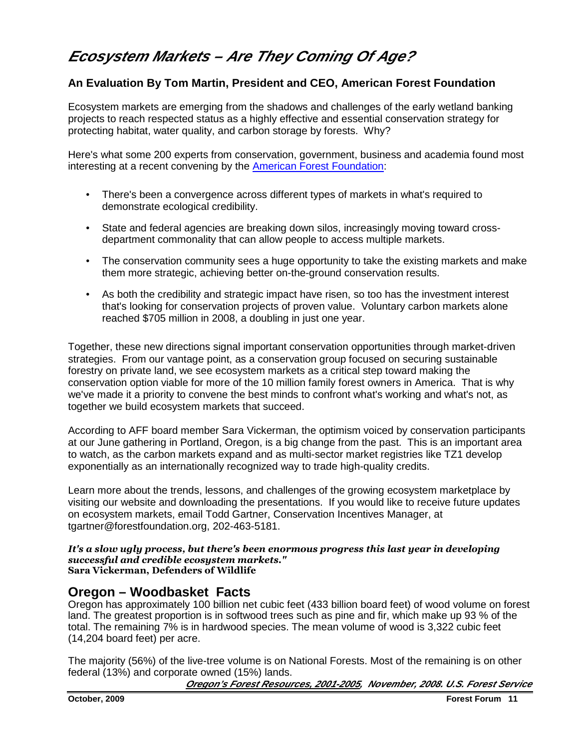# **Ecosystem Markets – Are They Coming Of Age?**

# **An Evaluation By Tom Martin, President and CEO, American Forest Foundation**

Ecosystem markets are emerging from the shadows and challenges of the early wetland banking projects to reach respected status as a highly effective and essential conservation strategy for protecting habitat, water quality, and carbon storage by forests. Why?

Here's what some 200 experts from conservation, government, business and academia found most interesting at a recent convening by the American Forest Foundation:

- There's been a convergence across different types of markets in what's required to demonstrate ecological credibility.
- State and federal agencies are breaking down silos, increasingly moving toward crossdepartment commonality that can allow people to access multiple markets.
- The conservation community sees a huge opportunity to take the existing markets and make them more strategic, achieving better on-the-ground conservation results.
- As both the credibility and strategic impact have risen, so too has the investment interest that's looking for conservation projects of proven value. Voluntary carbon markets alone reached \$705 million in 2008, a doubling in just one year.

Together, these new directions signal important conservation opportunities through market-driven strategies. From our vantage point, as a conservation group focused on securing sustainable forestry on private land, we see ecosystem markets as a critical step toward making the conservation option viable for more of the 10 million family forest owners in America. That is why we've made it a priority to convene the best minds to confront what's working and what's not, as together we build ecosystem markets that succeed.

According to AFF board member Sara Vickerman, the optimism voiced by conservation participants at our June gathering in Portland, Oregon, is a big change from the past. This is an important area to watch, as the carbon markets expand and as multi-sector market registries like TZ1 develop exponentially as an internationally recognized way to trade high-quality credits.

Learn more about the trends, lessons, and challenges of the growing ecosystem marketplace by visiting our website and downloading the presentations. If you would like to receive future updates on ecosystem markets, email Todd Gartner, Conservation Incentives Manager, at tgartner@forestfoundation.org, 202-463-5181.

### It's a slow ugly process, but there's been enormous progress this last year in developing successful and credible ecosystem markets." Sara Vickerman, Defenders of Wildlife

# **Oregon – Woodbasket Facts**

Oregon has approximately 100 billion net cubic feet (433 billion board feet) of wood volume on forest land. The greatest proportion is in softwood trees such as pine and fir, which make up 93 % of the total. The remaining 7% is in hardwood species. The mean volume of wood is 3,322 cubic feet (14,204 board feet) per acre.

The majority (56%) of the live-tree volume is on National Forests. Most of the remaining is on other federal (13%) and corporate owned (15%) lands.

**Oregon's Forest Resources, 2001-2005, November, 2008. U.S. Forest Service**